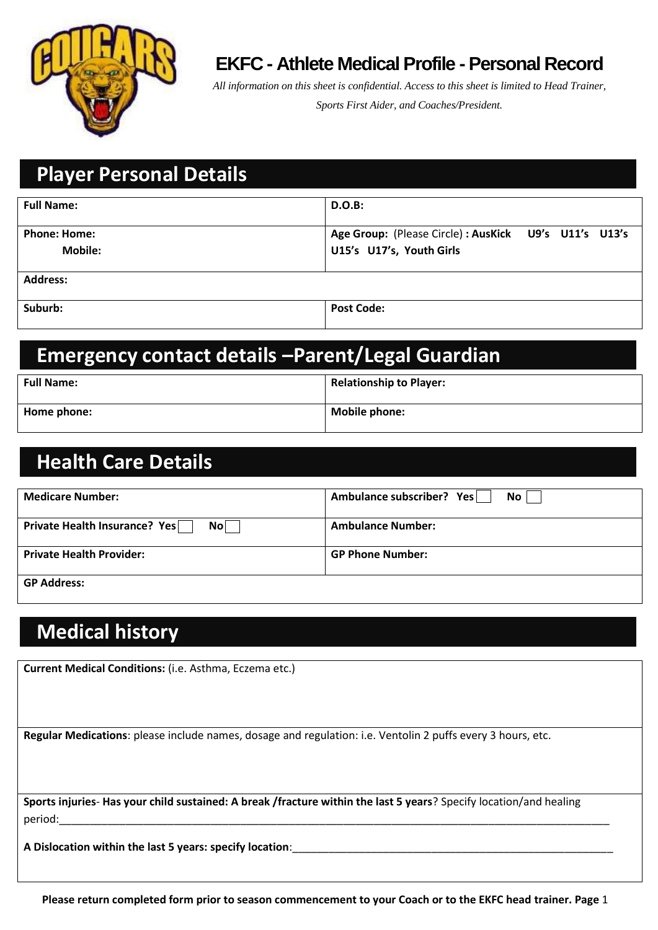

#### **EKFC - Athlete Medical Profile - Personal Record**

*All information on this sheet is confidential. Access to this sheet is limited to Head Trainer, Sports First Aider, and Coaches/President.*

# **Player Personal Details**

| <b>Full Name:</b>   | <b>D.O.B:</b>                                         |
|---------------------|-------------------------------------------------------|
| <b>Phone: Home:</b> | Age Group: (Please Circle) : AusKick U9's U11's U13's |
| <b>Mobile:</b>      | U15's U17's, Youth Girls                              |
| <b>Address:</b>     |                                                       |
| Suburb:             | <b>Post Code:</b>                                     |

#### **Emergency contact details –Parent/Legal Guardian**

| <b>Full Name:</b> | <b>Relationship to Player:</b> |
|-------------------|--------------------------------|
| Home phone:       | <b>Mobile phone:</b>           |

## **Health Care Details**

| <b>Medicare Number:</b>                        | Ambulance subscriber? Yes<br>No <sub>1</sub> |
|------------------------------------------------|----------------------------------------------|
| Private Health Insurance? Yes<br>$\mathsf{No}$ | <b>Ambulance Number:</b>                     |
| <b>Private Health Provider:</b>                | <b>GP Phone Number:</b>                      |
| <b>GP Address:</b>                             |                                              |

## **Medical history**

**Current Medical Conditions:** (i.e. Asthma, Eczema etc.)

**Regular Medications**: please include names, dosage and regulation: i.e. Ventolin 2 puffs every 3 hours, etc.

**Sports injuries**- **Has your child sustained: A break /fracture within the last 5 years**? Specify location/and healing period:\_\_\_\_\_\_\_\_\_\_\_\_\_\_\_\_\_\_\_\_\_\_\_\_\_\_\_\_\_\_\_\_\_\_\_\_\_\_\_\_\_\_\_\_\_\_\_\_\_\_\_\_\_\_\_\_\_\_\_\_\_\_\_\_\_\_\_\_\_\_\_\_\_\_\_\_\_\_\_\_\_\_\_\_\_\_\_\_\_\_\_

**A Dislocation within the last 5 years: specify location**:\_\_\_\_\_\_\_\_\_\_\_\_\_\_\_\_\_\_\_\_\_\_\_\_\_\_\_\_\_\_\_\_\_\_\_\_\_\_\_\_\_\_\_\_\_\_\_\_\_\_\_\_\_